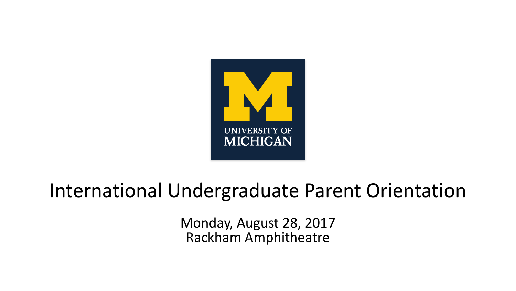

### International Undergraduate Parent Orientation

Monday, August 28, 2017 Rackham Amphitheatre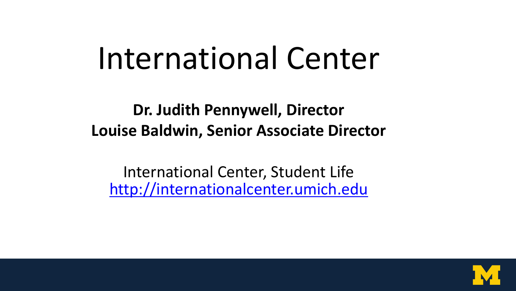## International Center

**Dr. Judith Pennywell, Director Louise Baldwin, Senior Associate Director**

International Center, Student Life [http://internationalcenter.umich.edu](http://internationalcenter.umich.edu/)

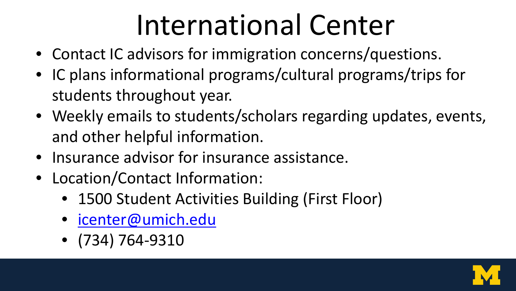## International Center

- Contact IC advisors for immigration concerns/questions.
- IC plans informational programs/cultural programs/trips for students throughout year.
- Weekly emails to students/scholars regarding updates, events, and other helpful information.
- Insurance advisor for insurance assistance.
- Location/Contact Information:
	- 1500 Student Activities Building (First Floor)
	- [icenter@umich.edu](mailto:icenter@umich.edu)
	- (734) 764-9310

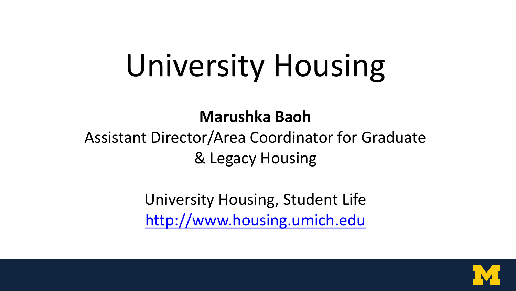# University Housing

#### **Marushka Baoh**

#### Assistant Director/Area Coordinator for Graduate & Legacy Housing

University Housing, Student Life [http://www.housing.umich.edu](http://www.housing.umich.edu/)

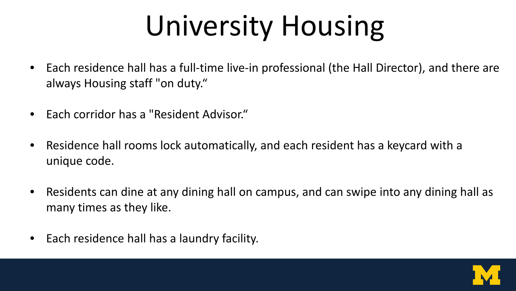# University Housing

- Each residence hall has a full-time live-in professional (the Hall Director), and there are always Housing staff "on duty."
- Each corridor has a "Resident Advisor."
- Residence hall rooms lock automatically, and each resident has a keycard with a unique code.
- Residents can dine at any dining hall on campus, and can swipe into any dining hall as many times as they like.
- Each residence hall has a laundry facility.

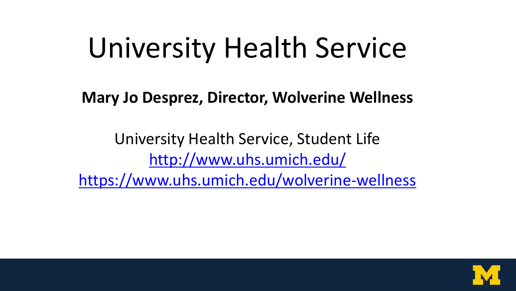## University Health Service

**Mary Jo Desprez, Director, Wolverine Wellness**

University Health Service, Student Life <http://www.uhs.umich.edu/> <https://www.uhs.umich.edu/wolverine-wellness>

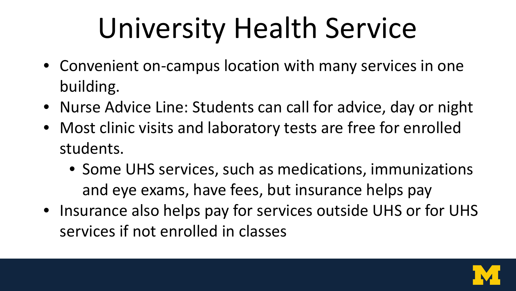## University Health Service

- Convenient on-campus location with many services in one building.
- Nurse Advice Line: Students can call for advice, day or night
- Most clinic visits and laboratory tests are free for enrolled students.
	- Some UHS services, such as medications, immunizations and eye exams, have fees, but insurance helps pay
- Insurance also helps pay for services outside UHS or for UHS services if not enrolled in classes

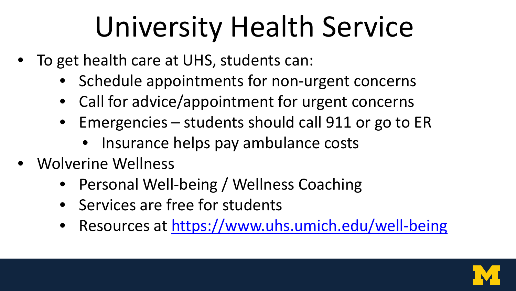## University Health Service

- To get health care at UHS, students can:
	- Schedule appointments for non-urgent concerns
	- Call for advice/appointment for urgent concerns
	- Emergencies students should call 911 or go to ER
		- Insurance helps pay ambulance costs
- Wolverine Wellness
	- Personal Well-being / Wellness Coaching
	- Services are free for students
	- Resources at<https://www.uhs.umich.edu/well-being>

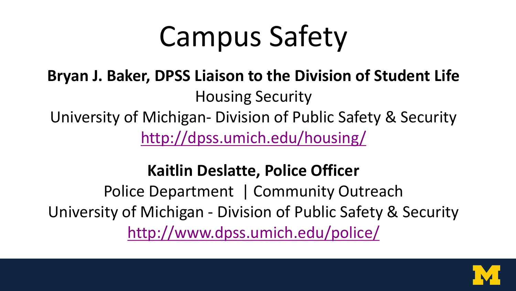## Campus Safety

### **Bryan J. Baker, DPSS Liaison to the Division of Student Life** Housing Security University of Michigan- Division of Public Safety & Security <http://dpss.umich.edu/housing/>

#### **Kaitlin Deslatte, Police Officer**

Police Department | Community Outreach University of Michigan - Division of Public Safety & Security <http://www.dpss.umich.edu/police/>

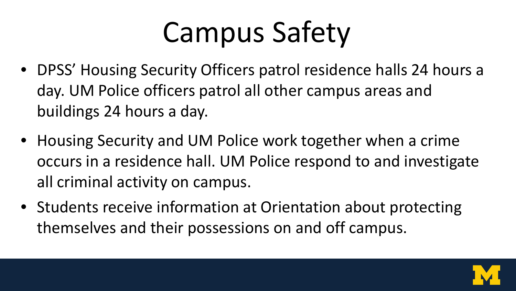## Campus Safety

- DPSS' Housing Security Officers patrol residence halls 24 hours a day. UM Police officers patrol all other campus areas and buildings 24 hours a day.
- Housing Security and UM Police work together when a crime occurs in a residence hall. UM Police respond to and investigate all criminal activity on campus.
- Students receive information at Orientation about protecting themselves and their possessions on and off campus.

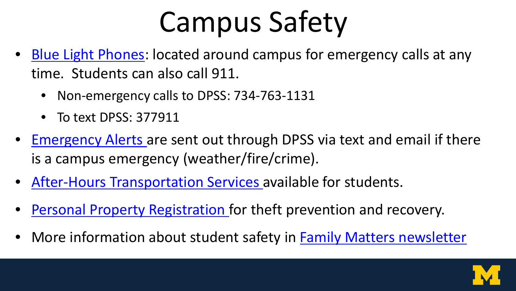## Campus Safety

- [Blue Light Phones](http://www.dpss.umich.edu/topics/emergency-phones/): located around campus for emergency calls at any time. Students can also call 911.
	- Non-emergency calls to DPSS: 734-763-1131
	- To text DPSS: 377911
- [Emergency Alerts a](http://www.dpss.umich.edu/emergency-management/alert/index.html)re sent out through DPSS via text and email if there is a campus emergency (weather/fire/crime).
- [After-Hours Transportation Services a](https://campusinfo.umich.edu/article/night-transportation-0)vailable for students.
- [Personal Property Registration f](https://wolverineaccess.umich.edu/f/u24l1s13/normal/render.uP)or theft prevention and recovery.
- More information about student safety in **[Family Matters newsletter](https://studentlife.umich.edu/parents/article/student-safety-priority-1)**

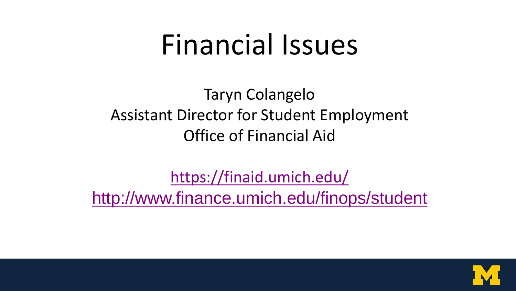### Financial Issues

Taryn Colangelo Assistant Director for Student Employment Office of Financial Aid

<https://finaid.umich.edu/> <http://www.finance.umich.edu/finops/student>

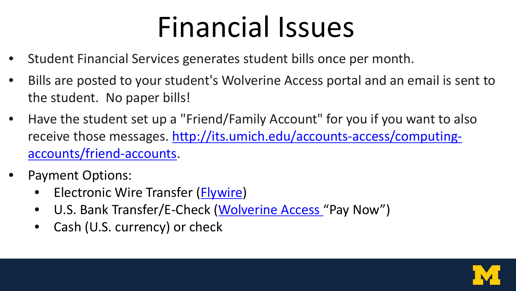## Financial Issues

- Student Financial Services generates student bills once per month.
- Bills are posted to your student's Wolverine Access portal and an email is sent to the student. No paper bills!
- Have the student set up a "Friend/Family Account" for you if you want to also receive those messages. [http://its.umich.edu/accounts-access/computing](http://its.umich.edu/accounts-access/computing-accounts/friend-accounts)[accounts/friend-accounts.](http://its.umich.edu/accounts-access/computing-accounts/friend-accounts)
- Payment Options:
	- Electronic Wire Transfer ([Flywire](http://www.finance.umich.edu/finops/student/payments/electronic/wires))
	- U.S. Bank Transfer/E-Check ([Wolverine Access](https://wolverineaccess.umich.edu/) "Pay Now")
	- Cash (U.S. currency) or check